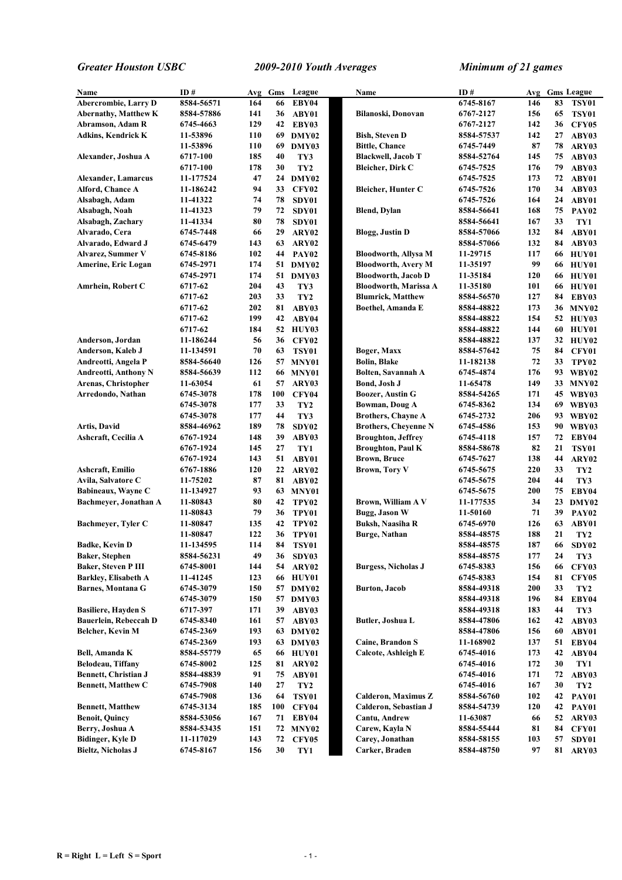| Name                        | ID#        | Avg | Gms | League            | Name                        | ID#        | Avg |    | <b>Gms League</b> |
|-----------------------------|------------|-----|-----|-------------------|-----------------------------|------------|-----|----|-------------------|
| Abercrombie, Larry D        | 8584-56571 | 164 | 66  | EBY04             |                             | 6745-8167  | 146 | 83 |                   |
|                             | 8584-57886 | 141 | 36  |                   | Bilanoski, Donovan          | 6767-2127  | 156 | 65 | <b>TSY01</b>      |
| <b>Abernathy, Matthew K</b> |            |     |     | ABY01             |                             |            |     |    | <b>TSY01</b>      |
| Abramson, Adam R            | 6745-4663  | 129 | 42  | EBY03             |                             | 6767-2127  | 142 | 36 | <b>CFY05</b>      |
| <b>Adkins, Kendrick K</b>   | 11-53896   | 110 |     | 69 DMY02          | <b>Bish, Steven D</b>       | 8584-57537 | 142 | 27 | ABY03             |
|                             | 11-53896   | 110 | 69  | DMY03             | <b>Bittle, Chance</b>       | 6745-7449  | 87  | 78 | ARY03             |
| Alexander, Joshua A         | 6717-100   | 185 | 40  | TY3               | <b>Blackwell, Jacob T</b>   | 8584-52764 | 145 | 75 | ABY03             |
|                             | 6717-100   | 178 | 30  | TY <sub>2</sub>   | <b>Bleicher, Dirk C</b>     | 6745-7525  | 176 | 79 | ABY03             |
| <b>Alexander, Lamarcus</b>  | 11-177524  | 47  |     | 24 DMY02          |                             | 6745-7525  | 173 | 72 | ABY01             |
| Alford, Chance A            | 11-186242  | 94  | 33  | CFY02             | <b>Bleicher, Hunter C</b>   | 6745-7526  | 170 | 34 | ABY03             |
| Alsabagh, Adam              | 11-41322   | 74  | 78  | SDY01             |                             | 6745-7526  | 164 | 24 | ABY01             |
| Alsabagh, Noah              | 11-41323   | 79  | 72  | SDY01             | <b>Blend</b> , Dylan        | 8584-56641 | 168 | 75 | PAY <sub>02</sub> |
| Alsabagh, Zachary           | 11-41334   | 80  | 78  | SDY01             |                             | 8584-56641 | 167 | 33 | TY1               |
| Alvarado, Cera              | 6745-7448  | 66  | 29  | ARY02             | <b>Blogg, Justin D</b>      | 8584-57066 | 132 | 84 | ABY01             |
| Alvarado, Edward J          | 6745-6479  | 143 | 63  | ARY02             |                             | 8584-57066 | 132 | 84 | ABY03             |
| <b>Alvarez, Summer V</b>    | 6745-8186  | 102 | 44  | PAY02             | <b>Bloodworth, Allysa M</b> | 11-29715   | 117 | 66 | HUY01             |
| Amerine, Eric Logan         | 6745-2971  | 174 |     | 51 DMY02          | <b>Bloodworth, Avery M</b>  | 11-35197   | 99  | 66 | HUY01             |
|                             | 6745-2971  | 174 | 51  | DMY03             | <b>Bloodworth, Jacob D</b>  | 11-35184   | 120 | 66 | HUY01             |
|                             |            |     |     |                   |                             |            |     |    |                   |
| Amrhein, Robert C           | 6717-62    | 204 | 43  | TY3               | Bloodworth, Marissa A       | 11-35180   | 101 | 66 | HUY01             |
|                             | 6717-62    | 203 | 33  | TY <sub>2</sub>   | <b>Blumrick, Matthew</b>    | 8584-56570 | 127 | 84 | EBY03             |
|                             | 6717-62    | 202 | 81  | ABY03             | Boethel, Amanda E           | 8584-48822 | 173 |    | 36 MNY02          |
|                             | 6717-62    | 199 | 42  | ABY04             |                             | 8584-48822 | 154 |    | 52 HUY03          |
|                             | 6717-62    | 184 |     | 52 HUY03          |                             | 8584-48822 | 144 | 60 | HUY01             |
| Anderson, Jordan            | 11-186244  | 56  | 36  | <b>CFY02</b>      |                             | 8584-48822 | 137 |    | 32 HUY02          |
| Anderson, Kaleb J           | 11-134591  | 70  | 63  | <b>TSY01</b>      | Boger, Maxx                 | 8584-57642 | 75  | 84 | CFY01             |
| Andreotti, Angela P         | 8584-56640 | 126 | 57  | MNY01             | <b>Bolin, Blake</b>         | 11-182138  | 72  | 33 | TPY02             |
| Andreotti, Anthony N        | 8584-56639 | 112 |     | <b>66 MNY01</b>   | Bolten, Savannah A          | 6745-4874  | 176 |    | 93 WBY02          |
| Arenas, Christopher         | 11-63054   | 61  | 57  | ARY03             | <b>Bond, Josh J</b>         | 11-65478   | 149 |    | 33 MNY02          |
| Arredondo, Nathan           | 6745-3078  | 178 | 100 | CFY04             | <b>Boozer, Austin G</b>     | 8584-54265 | 171 |    | 45 WBY03          |
|                             | 6745-3078  | 177 | 33  | TY <sub>2</sub>   | Bowman, Doug A              | 6745-8362  | 134 |    | 69 WBY03          |
|                             | 6745-3078  | 177 | 44  | TY3               | <b>Brothers, Chayne A</b>   | 6745-2732  | 206 |    | 93 WBY02          |
| Artis, David                | 8584-46962 | 189 | 78  | SDY02             | <b>Brothers, Cheyenne N</b> | 6745-4586  | 153 |    | 90 WBY03          |
|                             |            | 148 |     |                   |                             |            |     |    |                   |
| Ashcraft, Cecilia A         | 6767-1924  |     | 39  | ABY03             | <b>Broughton, Jeffrey</b>   | 6745-4118  | 157 | 72 | EBY04             |
|                             | 6767-1924  | 145 | 27  | TY1               | <b>Broughton, Paul K</b>    | 8584-58678 | 82  | 21 | TSY01             |
|                             | 6767-1924  | 143 | 51  | ABY01             | <b>Brown, Bruce</b>         | 6745-7627  | 138 | 44 | ARY02             |
| <b>Ashcraft, Emilio</b>     | 6767-1886  | 120 | 22  | ARY02             | <b>Brown, Tory V</b>        | 6745-5675  | 220 | 33 | TY <sub>2</sub>   |
| Avila, Salvatore C          | 11-75202   | 87  | 81  | ABY02             |                             | 6745-5675  | 204 | 44 | TY3               |
| Babineaux, Wayne C          | 11-134927  | 93  |     | 63 MNY01          |                             | 6745-5675  | 200 | 75 | EBY04             |
| Bachmeyer, Jonathan A       | 11-80843   | 80  | 42  | TPY <sub>02</sub> | Brown, William A V          | 11-177535  | 34  | 23 | DMY02             |
|                             | 11-80843   | 79  | 36  | TPY01             | Bugg, Jason W               | 11-50160   | 71  | 39 | PAY <sub>02</sub> |
| Bachmeyer, Tyler C          | 11-80847   | 135 | 42  | TPY02             | <b>Buksh, Naasiha R</b>     | 6745-6970  | 126 | 63 | ABY01             |
|                             | 11-80847   | 122 | 36  | TPY01             | <b>Burge, Nathan</b>        | 8584-48575 | 188 | 21 | TY <sub>2</sub>   |
| <b>Badke, Kevin D</b>       | 11-134595  | 114 | 84  | <b>TSY01</b>      |                             | 8584-48575 | 187 | 66 | SDY02             |
| Baker, Stephen              | 8584-56231 | 49  | 36  | SDY03             |                             | 8584-48575 | 177 | 24 | TY3               |
| <b>Baker, Steven P III</b>  | 6745-8001  | 144 | 54  | ARY02             | <b>Burgess, Nicholas J</b>  | 6745-8383  | 156 | 66 | <b>CFY03</b>      |
| Barkley, Elisabeth A        | 11-41245   | 123 | 66  | HUY01             |                             | 6745-8383  | 154 | 81 | <b>CFY05</b>      |
| <b>Barnes, Montana G</b>    | 6745-3079  | 150 | 57  | DMY02             | <b>Burton</b> , Jacob       | 8584-49318 | 200 | 33 | TY <sub>2</sub>   |
|                             | 6745-3079  | 150 |     | 57 DMY03          |                             | 8584-49318 | 196 | 84 | EBY04             |
|                             |            |     |     |                   |                             |            |     | 44 |                   |
| <b>Basiliere, Hayden S</b>  | 6717-397   | 171 | 39  | ABY03             |                             | 8584-49318 | 183 |    | TY3               |
| Bauerlein, Rebeccah D       | 6745-8340  | 161 | 57  | ABY03             | Butler, Joshua L            | 8584-47806 | 162 | 42 | ABY03             |
| Belcher, Kevin M            | 6745-2369  | 193 |     | 63 DMY02          |                             | 8584-47806 | 156 | 60 | ABY01             |
|                             | 6745-2369  | 193 | 63  | DMY03             | Caine, Brandon S            | 11-168902  | 137 | 51 | EBY04             |
| Bell, Amanda K              | 8584-55779 | 65  |     | 66 HUY01          | Calcote, Ashleigh E         | 6745-4016  | 173 | 42 | ABY04             |
| Belodeau, Tiffany           | 6745-8002  | 125 | 81  | ARY02             |                             | 6745-4016  | 172 | 30 | TY1               |
| <b>Bennett, Christian J</b> | 8584-48839 | 91  | 75  | ABY01             |                             | 6745-4016  | 171 | 72 | ABY03             |
| <b>Bennett, Matthew C</b>   | 6745-7908  | 140 | 27  | TY <sub>2</sub>   |                             | 6745-4016  | 167 | 30 | TY <sub>2</sub>   |
|                             | 6745-7908  | 136 | 64  | <b>TSY01</b>      | <b>Calderon, Maximus Z</b>  | 8584-56760 | 102 | 42 | <b>PAY01</b>      |
| <b>Bennett, Matthew</b>     | 6745-3134  | 185 | 100 | CFY04             | Calderon, Sebastian J       | 8584-54739 | 120 | 42 | <b>PAY01</b>      |
| <b>Benoit, Quincy</b>       | 8584-53056 | 167 | 71  | EBY04             | <b>Cantu, Andrew</b>        | 11-63087   | 66  | 52 | ARY03             |
| Berry, Joshua A             | 8584-53435 | 151 | 72  | MNY02             | Carew, Kayla N              | 8584-55444 | 81  | 84 | CFY01             |
| Bidinger, Kyle D            | 11-117029  | 143 | 72  | <b>CFY05</b>      | Carey, Jonathan             | 8584-58155 | 103 | 57 | SDY01             |
| <b>Bieltz, Nicholas J</b>   | 6745-8167  | 156 | 30  | TY1               | Carker, Braden              | 8584-48750 | 97  | 81 | ARY03             |
|                             |            |     |     |                   |                             |            |     |    |                   |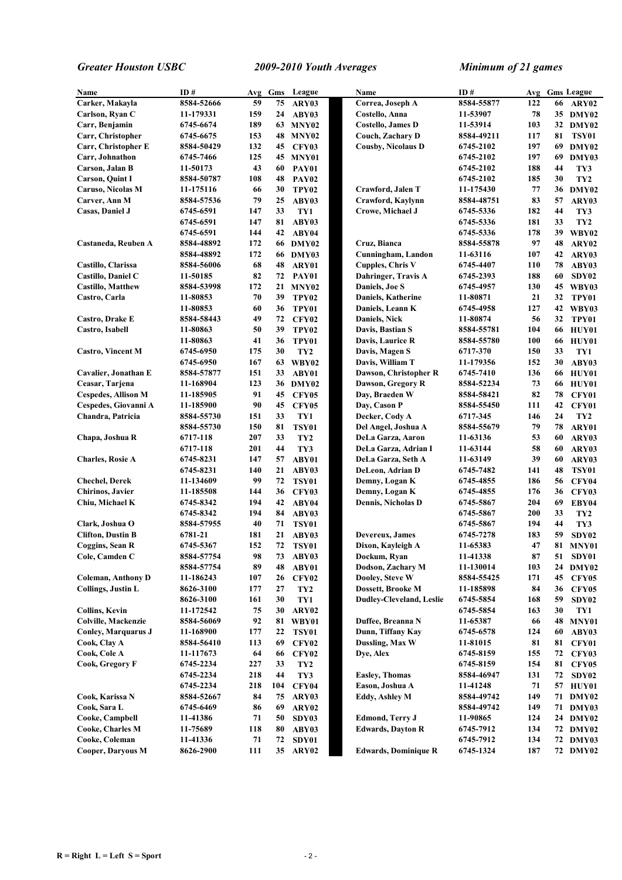| Name                       | ID#        | Avg | Gms | League            | Name                            | ID#        | Avg        |    | <b>Gms League</b> |
|----------------------------|------------|-----|-----|-------------------|---------------------------------|------------|------------|----|-------------------|
| Carker, Makayla            | 8584-52666 | 59  | 75  | ARY03             | Correa, Joseph A                | 8584-55877 | 122        | 66 | ARY02             |
| Carlson, Ryan C            | 11-179331  | 159 | 24  | ABY03             | Costello, Anna                  | 11-53907   | 78         | 35 | DMY02             |
| Carr, Benjamin             | 6745-6674  | 189 | 63  | MNY02             | <b>Costello, James D</b>        | 11-53914   | 103        |    | 32 DMY02          |
| Carr, Christopher          | 6745-6675  | 153 | 48  | MNY02             | Couch, Zachary D                | 8584-49211 | 117        | 81 | <b>TSY01</b>      |
| Carr, Christopher E        | 8584-50429 | 132 | 45  | <b>CFY03</b>      | <b>Cousby, Nicolaus D</b>       | 6745-2102  | 197        | 69 | DMY02             |
| Carr, Johnathon            | 6745-7466  | 125 |     | <b>45 MNY01</b>   |                                 | 6745-2102  | 197        | 69 | DMY03             |
| Carson, Jalan B            | 11-50173   | 43  | 60  | PAY01             |                                 | 6745-2102  | 188        | 44 | TY3               |
| <b>Carson, Quint I</b>     | 8584-50787 | 108 | 48  | <b>PAY02</b>      |                                 | 6745-2102  | 185        | 30 | TY <sub>2</sub>   |
| Caruso, Nicolas M          | 11-175116  | 66  | 30  | TPY <sub>02</sub> | Crawford, Jalen T               | 11-175430  | 77         | 36 | DMY02             |
| Carver, Ann M              | 8584-57536 | 79  | 25  | ABY03             | Crawford, Kavlynn               | 8584-48751 | 83         | 57 | ARY03             |
| Casas, Daniel J            | 6745-6591  | 147 | 33  | TY1               | Crowe, Michael J                | 6745-5336  | 182        | 44 | TY3               |
|                            | 6745-6591  | 147 | 81  | ABY03             |                                 | 6745-5336  | 181        | 33 | TY <sub>2</sub>   |
|                            | 6745-6591  | 144 | 42  | ABY04             |                                 | 6745-5336  | 178        | 39 | WBY02             |
| Castaneda, Reuben A        | 8584-48892 | 172 |     | 66 DMY02          | Cruz, Bianca                    | 8584-55878 | 97         | 48 | ARY02             |
|                            | 8584-48892 | 172 |     | 66 DMY03          | Cunningham, Landon              | 11-63116   | 107        | 42 | ARY03             |
| Castillo, Clarissa         | 8584-56006 | 68  | 48  | ARY01             | <b>Cupples, Chris V</b>         | 6745-4407  | 110        | 78 | ABY03             |
| Castillo, Daniel C         | 11-50185   | 82  | 72  | <b>PAY01</b>      | Dahringer, Travis A             | 6745-2393  | 188        | 60 | SDY02             |
| <b>Castillo, Matthew</b>   | 8584-53998 | 172 | 21  | MNY <sub>02</sub> | Daniels, Joe S                  | 6745-4957  | 130        | 45 | WBY03             |
| Castro, Carla              | 11-80853   | 70  | 39  | TPY <sub>02</sub> | <b>Daniels, Katherine</b>       | 11-80871   | 21         | 32 | TPY01             |
|                            | 11-80853   | 60  | 36  | TPY01             | Daniels, Leann K                | 6745-4958  | 127        | 42 | WBY03             |
| Castro, Drake E            | 8584-58443 | 49  | 72  | <b>CFY02</b>      | Daniels, Nick                   | 11-80874   | 56         | 32 | TPY01             |
| Castro, Isabell            | 11-80863   | 50  | 39  | TPY <sub>02</sub> | Davis, Bastian S                | 8584-55781 | 104        | 66 | HUY01             |
|                            | 11-80863   | 41  | 36  |                   |                                 |            | 100        | 66 | HUY01             |
|                            |            |     |     | TPY01             | Davis, Laurice R                | 8584-55780 |            | 33 |                   |
| <b>Castro, Vincent M</b>   | 6745-6950  | 175 | 30  | TY <sub>2</sub>   | Davis, Magen S                  | 6717-370   | 150        |    | TY1               |
|                            | 6745-6950  | 167 | 63  | WBY02             | Davis, William T                | 11-179356  | 152        | 30 | ABY03             |
| Cavalier, Jonathan E       | 8584-57877 | 151 | 33  | ABY01             | Dawson, Christopher R           | 6745-7410  | 136        | 66 | HUY01             |
| Ceasar, Tarjena            | 11-168904  | 123 |     | 36 DMY02          | Dawson, Gregory R               | 8584-52234 | 73         | 66 | HUY01             |
| <b>Cespedes, Allison M</b> | 11-185905  | 91  | 45  | <b>CFY05</b>      | Day, Braeden W                  | 8584-58421 | 82         | 78 | CFY01             |
| Cespedes, Giovanni A       | 11-185900  | 90  | 45  | <b>CFY05</b>      | Day, Cason P                    | 8584-55450 | 111        | 42 | CFY01             |
| Chandra, Patricia          | 8584-55730 | 151 | 33  | TY1               | Decker, Cody A                  | 6717-345   | 146        | 24 | TY <sub>2</sub>   |
|                            | 8584-55730 | 150 | 81  | <b>TSY01</b>      | Del Angel, Joshua A             | 8584-55679 | 79         | 78 | ARY01             |
| Chapa, Joshua R            | 6717-118   | 207 | 33  | TY <sub>2</sub>   | DeLa Garza, Aaron               | 11-63136   | 53         | 60 | ARY03             |
|                            | 6717-118   | 201 | 44  | TY3               | DeLa Garza, Adrian I            | 11-63144   | 58         | 60 | ARY03             |
| <b>Charles, Rosie A</b>    | 6745-8231  | 147 | 57  | ABY01             | <b>DeLa Garza, Seth A</b>       | 11-63149   | 39         | 60 | ARY03             |
|                            | 6745-8231  | 140 | 21  | ABY03             | DeLeon, Adrian D                | 6745-7482  | 141        | 48 | <b>TSY01</b>      |
| <b>Chechel, Derek</b>      | 11-134609  | 99  | 72  | <b>TSY01</b>      | Demny, Logan K                  | 6745-4855  | 186        | 56 | <b>CFY04</b>      |
| <b>Chirinos</b> , Javier   | 11-185508  | 144 | 36  | <b>CFY03</b>      | Demny, Logan K                  | 6745-4855  | 176        | 36 | CFY03             |
| Chiu, Michael K            | 6745-8342  | 194 | 42  | ABY04             | <b>Dennis, Nicholas D</b>       | 6745-5867  | 204        | 69 | EBY04             |
|                            | 6745-8342  | 194 | 84  | ABY03             |                                 | 6745-5867  | 200        | 33 | TY <sub>2</sub>   |
| Clark, Joshua O            | 8584-57955 | 40  | 71  | <b>TSY01</b>      |                                 | 6745-5867  | 194        | 44 | TY3               |
| <b>Clifton, Dustin B</b>   | 6781-21    | 181 | 21  | ABY03             | Devereux, James                 | 6745-7278  | 183        | 59 | SDY02             |
| Coggins, Sean R            | 6745-5367  | 152 | 72  | TSY01             | Dixon, Kayleigh A               | 11-65383   | 47         |    | <b>81 MNY01</b>   |
| Cole, Camden C             | 8584-57754 | 98  | 73  | ABY03             | Dockum, Ryan                    | 11-41338   | ${\bf 87}$ | 51 | SDY01             |
|                            | 8584-57754 | 89  | 48  | ABY01             | Dodson, Zachary M               | 11-130014  | 103        |    | 24 DMY02          |
| <b>Coleman, Anthony D</b>  | 11-186243  | 107 | 26  | <b>CFY02</b>      | Dooley, Steve W                 | 8584-55425 | 171        | 45 | CFY05             |
| <b>Collings, Justin L</b>  | 8626-3100  | 177 | 27  | TY <sub>2</sub>   | Dossett, Brooke M               | 11-185898  | 84         | 36 | CFY05             |
|                            | 8626-3100  | 161 | 30  | TY1               | <b>Dudley-Cleveland, Leslie</b> | 6745-5854  | 168        | 59 | SDY02             |
| <b>Collins, Kevin</b>      | 11-172542  | 75  | 30  | ARY02             |                                 | 6745-5854  | 163        | 30 | TY1               |
| Colville, Mackenzie        | 8584-56069 | 92  | 81  | WBY01             | Duffee, Breanna N               | 11-65387   | 66         | 48 | MNY01             |
| <b>Conley, Marquarus J</b> | 11-168900  | 177 | 22  | <b>TSY01</b>      | Dunn, Tiffany Kay               | 6745-6578  | 124        | 60 | ABY03             |
| Cook, Clay A               | 8584-56410 | 113 | 69  | <b>CFY02</b>      | Dussling, Max W                 | 11-81015   | 81         | 81 | CFY01             |
| Cook, Cole A               | 11-117673  | 64  | 66  | <b>CFY02</b>      | Dye, Alex                       | 6745-8159  | 155        | 72 | CFY03             |
| Cook, Gregory F            | 6745-2234  | 227 | 33  | TY <sub>2</sub>   |                                 | 6745-8159  | 154        | 81 | CFY05             |
|                            | 6745-2234  | 218 | 44  | TY3               | <b>Easley, Thomas</b>           | 8584-46947 | 131        | 72 | SDY02             |
|                            | 6745-2234  | 218 | 104 | <b>CFY04</b>      | Eason, Joshua A                 | 11-41248   | 71         | 57 | HUY01             |
| Cook, Karissa N            | 8584-52667 | 84  | 75  | ARY03             | <b>Eddy, Ashley M</b>           | 8584-49742 | 149        |    | 71 DMY02          |
| Cook, Sara L               | 6745-6469  | 86  | 69  | ARY02             |                                 | 8584-49742 | 149        | 71 | DMY03             |
| Cooke, Campbell            | 11-41386   | 71  | 50  | SDY03             | <b>Edmond, Terry J</b>          | 11-90865   | 124        |    | 24 DMY02          |
| Cooke, Charles M           | 11-75689   | 118 | 80  | ABY03             | <b>Edwards, Dayton R</b>        | 6745-7912  | 134        |    | 72 DMY02          |
| Cooke, Coleman             | 11-41336   | 71  | 72  | SDY01             |                                 | 6745-7912  | 134        |    | 72 DMY03          |
| <b>Cooper, Daryous M</b>   | 8626-2900  | 111 |     | 35 ARY02          | <b>Edwards, Dominique R</b>     | 6745-1324  | 187        |    | 72 DMY02          |
|                            |            |     |     |                   |                                 |            |            |    |                   |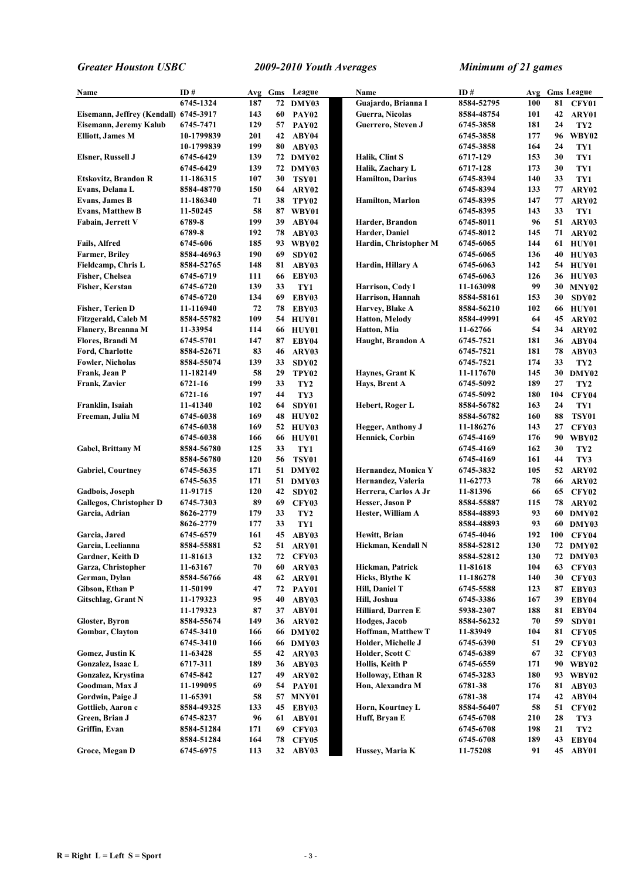| Name                                  | ID#        | Avg | Gms | League            | Name                      | ID#        | Avg |     | <b>Gms League</b> |
|---------------------------------------|------------|-----|-----|-------------------|---------------------------|------------|-----|-----|-------------------|
|                                       | 6745-1324  | 187 |     | 72 DMY03          | Guajardo, Brianna I       | 8584-52795 | 100 | 81  | CFY01             |
| Eisemann, Jeffrey (Kendall) 6745-3917 |            | 143 | 60  | <b>PAY02</b>      | Guerra, Nicolas           | 8584-48754 | 101 | 42  | ARY01             |
| Eisemann, Jeremy Kalub                | 6745-7471  | 129 | 57  | PAY <sub>02</sub> | Guerrero, Steven J        | 6745-3858  | 181 | 24  | TY <sub>2</sub>   |
| <b>Elliott, James M</b>               | 10-1799839 | 201 | 42  | ABY04             |                           | 6745-3858  | 177 | 96  | WBY02             |
|                                       | 10-1799839 | 199 | 80  | ABY03             |                           | 6745-3858  | 164 | 24  | TY1               |
| <b>Elsner, Russell J</b>              | 6745-6429  | 139 |     | 72 DMY02          | Halik, Clint S            | 6717-129   | 153 | 30  | TY1               |
|                                       | 6745-6429  | 139 | 72  | DMY03             | Halik, Zachary L          | 6717-128   | 173 | 30  | TY1               |
| Etskovitz, Brandon R                  | 11-186315  | 107 | 30  | <b>TSY01</b>      | <b>Hamilton, Darius</b>   | 6745-8394  | 140 | 33  | TY1               |
| Evans, Delana L                       | 8584-48770 | 150 | 64  | ARY02             |                           | 6745-8394  | 133 | 77  | ARY02             |
| <b>Evans, James B</b>                 | 11-186340  | 71  | 38  | TPY02             | <b>Hamilton, Marlon</b>   | 6745-8395  | 147 | 77  | ARY02             |
| <b>Evans, Matthew B</b>               | 11-50245   | 58  | 87  | WBY01             |                           | 6745-8395  | 143 | 33  | TY1               |
| Fabain, Jerrett V                     | 6789-8     | 199 | 39  | ABY04             | Harder, Brandon           | 6745-8011  | 96  | 51  | ARY03             |
|                                       | 6789-8     | 192 | 78  | ABY03             | Harder, Daniel            | 6745-8012  | 145 | 71  | ARY02             |
| Fails, Alfred                         | 6745-606   | 185 | 93  | WBY02             | Hardin, Christopher M     | 6745-6065  | 144 | 61  | HUY01             |
| <b>Farmer, Briley</b>                 | 8584-46963 | 190 | 69  | SDY02             |                           | 6745-6065  | 136 | 40  | HUY03             |
| Fieldcamp, Chris L                    | 8584-52765 | 148 | 81  | ABY03             | Hardin, Hillary A         | 6745-6063  | 142 | 54  | HUY01             |
| <b>Fisher, Chelsea</b>                | 6745-6719  | 111 | 66  | EBY03             |                           | 6745-6063  | 126 |     | 36 HUY03          |
| <b>Fisher, Kerstan</b>                | 6745-6720  | 139 | 33  | TY1               | Harrison, Cody l          | 11-163098  | 99  | 30  | MNY <sub>02</sub> |
|                                       | 6745-6720  | 134 | 69  | EBY03             | Harrison, Hannah          | 8584-58161 | 153 | 30  | SDY02             |
| Fisher, Terien D                      | 11-116940  | 72  | 78  | EBY03             | Harvey, Blake A           | 8584-56210 | 102 | 66  | HUY01             |
| Fitzgerald, Caleb M                   | 8584-55782 | 109 | 54  | HUY01             | <b>Hatton, Melody</b>     | 8584-49991 | 64  | 45  | ARY02             |
| Flanery, Breanna M                    | 11-33954   | 114 | 66  | HUY01             | Hatton, Mia               | 11-62766   | 54  | 34  | ARY02             |
| Flores, Brandi M                      | 6745-5701  | 147 | 87  | EBY04             | Haught, Brandon A         | 6745-7521  | 181 | 36  | ABY04             |
| Ford, Charlotte                       | 8584-52671 | 83  | 46  | ARY03             |                           | 6745-7521  | 181 | 78  | ABY03             |
| <b>Fowler, Nicholas</b>               | 8584-55074 | 139 | 33  | SDY02             |                           | 6745-7521  | 174 | 33  | TY <sub>2</sub>   |
| Frank, Jean P                         | 11-182149  | 58  | 29  | TPY <sub>02</sub> | Haynes, Grant K           | 11-117670  | 145 |     | 30 DMY02          |
| Frank, Zavier                         | 6721-16    | 199 | 33  | TY <sub>2</sub>   | Hays, Brent A             | 6745-5092  | 189 | 27  | TY <sub>2</sub>   |
|                                       | 6721-16    | 197 | 44  | TY3               |                           | 6745-5092  | 180 | 104 | <b>CFY04</b>      |
| Franklin, Isaiah                      | 11-41340   | 102 | 64  | SDY01             | Hebert, Roger L           | 8584-56782 | 163 | 24  | TY1               |
| Freeman, Julia M                      | 6745-6038  | 169 | 48  | HUY02             |                           | 8584-56782 | 160 | 88  | <b>TSY01</b>      |
|                                       | 6745-6038  | 169 | 52  | HUY03             | <b>Hegger, Anthony J</b>  | 11-186276  | 143 | 27  | <b>CFY03</b>      |
|                                       | 6745-6038  | 166 | 66  | HUY01             | <b>Hennick, Corbin</b>    | 6745-4169  | 176 | 90  | <b>WBY02</b>      |
| Gabel, Brittany M                     | 8584-56780 | 125 | 33  | TY1               |                           | 6745-4169  | 162 | 30  | TY <sub>2</sub>   |
|                                       | 8584-56780 | 120 | 56  | <b>TSY01</b>      |                           | 6745-4169  | 161 | 44  | TY3               |
| <b>Gabriel, Courtney</b>              | 6745-5635  | 171 | 51  | DMY02             | Hernandez, Monica Y       | 6745-3832  | 105 | 52  | ARY02             |
|                                       | 6745-5635  | 171 | 51  | DMY03             | Hernandez, Valeria        | 11-62773   | 78  | 66  | ARY02             |
| <b>Gadbois, Joseph</b>                | 11-91715   | 120 | 42  | SDY02             | Herrera, Carlos A Jr      | 11-81396   | 66  | 65  | CFY02             |
| <b>Gallegos, Christopher D</b>        | 6745-7303  | 89  | 69  | <b>CFY03</b>      | Hesser, Jason P           | 8584-55887 | 115 | 78  | ARY02             |
| Garcia, Adrian                        | 8626-2779  | 179 | 33  | TY <sub>2</sub>   | Hester, William A         | 8584-48893 | 93  | 60  | DMY02             |
|                                       | 8626-2779  | 177 | 33  | TY1               |                           | 8584-48893 | 93  |     | 60 DMY03          |
| Garcia, Jared                         | 6745-6579  | 161 | 45  | ABY03             | Hewitt, Brian             | 6745-4046  | 192 | 100 | CFY04             |
| Garcia, Leelianna                     | 8584-55881 | 52  |     | 51 ARY01          | Hickman, Kendall N        | 8584-52812 | 130 |     | 72 DMY02          |
| Gardner, Keith D                      | 11-81613   | 132 | 72  | CFY03             |                           | 8584-52812 | 130 |     | 72 DMY03          |
| Garza, Christopher                    | 11-63167   | 70  | 60  | ARY03             | Hickman, Patrick          | 11-81618   | 104 | 63  | CFY03             |
| German, Dylan                         | 8584-56766 | 48  | 62  | ARY01             | Hicks, Blythe K           | 11-186278  | 140 | 30  | CFY03             |
| Gibson, Ethan P                       | 11-50199   | 47  | 72  | PAY01             | Hill, Daniel T            | 6745-5588  | 123 | 87  | EBY03             |
| Gitschlag, Grant N                    | 11-179323  | 95  | 40  | ABY03             | Hill, Joshua              | 6745-3386  | 167 | 39  | EBY04             |
|                                       | 11-179323  | 87  | 37  | ABY01             | Hilliard, Darren E        | 5938-2307  | 188 | 81  | EBY04             |
| Gloster, Byron                        | 8584-55674 | 149 | 36  | ARY02             | Hodges, Jacob             | 8584-56232 | 70  | 59  | SDY01             |
| Gombar, Clayton                       | 6745-3410  | 166 | 66  | DMY02             | <b>Hoffman, Matthew T</b> | 11-83949   | 104 | 81  | CFY05             |
|                                       | 6745-3410  | 166 |     | 66 DMY03          | Holder, Michelle J        | 6745-6390  | 51  | 29  | CFY03             |
| <b>Gomez, Justin K</b>                | 11-63428   | 55  | 42  | ARY03             | Holder, Scott C           | 6745-6389  | 67  | 32  | CFY03             |
| Gonzalez, Isaac L                     | 6717-311   | 189 | 36  | ABY03             | Hollis, Keith P           | 6745-6559  | 171 |     | 90 WBY02          |
| Gonzalez, Krystina                    | 6745-842   | 127 | 49  | ARY02             | Holloway, Ethan R         | 6745-3283  | 180 |     | 93 WBY02          |
| Goodman, Max J                        | 11-199095  | 69  | 54  | PAY01             | Hon, Alexandra M          | 6781-38    | 176 | 81  | ABY03             |
| Gordwin, Paige J                      | 11-65391   | 58  | 57  | MNY01             |                           | 6781-38    | 174 | 42  | ABY04             |
| Gottlieb, Aaron c                     | 8584-49325 | 133 | 45  | EBY03             | Horn, Kourtney L          | 8584-56407 | 58  | 51  | CFY02             |
| Green, Brian J                        | 6745-8237  | 96  | 61  | ABY01             | Huff, Bryan E             | 6745-6708  | 210 | 28  | TY3               |
| Griffin, Evan                         | 8584-51284 | 171 | 69  | <b>CFY03</b>      |                           | 6745-6708  | 198 | 21  | TY <sub>2</sub>   |
|                                       | 8584-51284 | 164 | 78  | <b>CFY05</b>      |                           | 6745-6708  | 189 | 43  | EBY04             |
| Groce, Megan D                        | 6745-6975  | 113 |     | 32 ABY03          | Hussey, Maria K           | 11-75208   | 91  |     | 45 ABY01          |
|                                       |            |     |     |                   |                           |            |     |     |                   |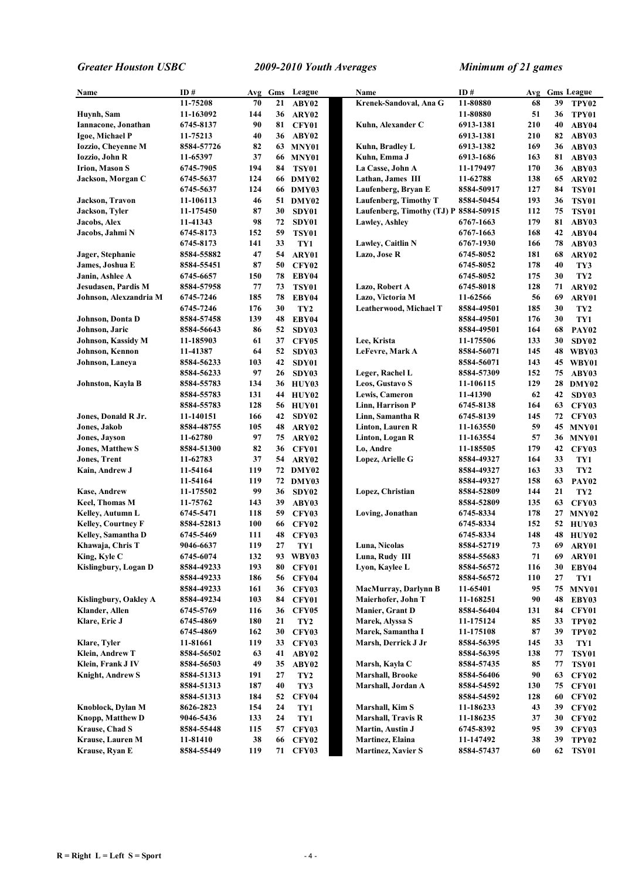| Name                      | ID#        | Avg | Gms | League            | Name                                  | ID#        |     |    | Avg Gms League    |
|---------------------------|------------|-----|-----|-------------------|---------------------------------------|------------|-----|----|-------------------|
|                           | 11-75208   | 70  | 21  | ABY02             | Krenek-Sandoval, Ana G                | 11-80880   | 68  | 39 | TPY <sub>02</sub> |
| Huynh, Sam                | 11-163092  | 144 | 36  | ARY02             |                                       | 11-80880   | 51  | 36 | TPY01             |
| Iannacone, Jonathan       | 6745-8137  | 90  | 81  | <b>CFY01</b>      | Kuhn, Alexander C                     | 6913-1381  | 210 | 40 | ABY04             |
| Igoe, Michael P           | 11-75213   | 40  | 36  | ABY02             |                                       | 6913-1381  | 210 | 82 | ABY03             |
| <b>Iozzio, Cheyenne M</b> | 8584-57726 | 82  | 63  | MNY01             | Kuhn, Bradley L                       | 6913-1382  | 169 | 36 | ABY03             |
| Iozzio, John R            | 11-65397   | 37  |     | <b>66 MNY01</b>   | Kuhn, Emma J                          | 6913-1686  | 163 | 81 | ABY03             |
| <b>Irion, Mason S</b>     | 6745-7905  | 194 | 84  | TSY01             | La Casse, John A                      | 11-179497  | 170 | 36 | ABY03             |
| Jackson, Morgan C         | 6745-5637  | 124 |     | 66 DMY02          | Lathan, James III                     | 11-62788   | 138 | 65 | ARY02             |
|                           | 6745-5637  | 124 |     | 66 DMY03          | Laufenberg, Bryan E                   | 8584-50917 | 127 | 84 | <b>TSY01</b>      |
| Jackson, Travon           | 11-106113  | 46  |     | 51 DMY02          | Laufenberg, Timothy T                 | 8584-50454 | 193 | 36 | <b>TSY01</b>      |
| Jackson, Tyler            | 11-175450  | 87  | 30  | SDY01             | Laufenberg, Timothy (TJ) P 8584-50915 |            | 112 | 75 | <b>TSY01</b>      |
| Jacobs, Alex              | 11-41343   | 98  | 72  | SDY01             | <b>Lawley, Ashley</b>                 | 6767-1663  | 179 | 81 | ABY03             |
| Jacobs, Jahmi N           | 6745-8173  | 152 | 59  | <b>TSY01</b>      |                                       | 6767-1663  | 168 | 42 | ABY04             |
|                           |            | 141 | 33  |                   | Lawley, Caitlin N                     |            | 166 | 78 | ABY03             |
|                           | 6745-8173  | 47  |     | TY1               |                                       | 6767-1930  |     |    |                   |
| Jager, Stephanie          | 8584-55882 |     | 54  | ARY01             | Lazo, Jose R                          | 6745-8052  | 181 | 68 | ARY02             |
| James, Joshua E           | 8584-55451 | 87  | 50  | <b>CFY02</b>      |                                       | 6745-8052  | 178 | 40 | TY3               |
| Janin, Ashlee A           | 6745-6657  | 150 | 78  | EBY04             |                                       | 6745-8052  | 175 | 30 | TY <sub>2</sub>   |
| Jesudasen, Pardis M       | 8584-57958 | 77  | 73  | <b>TSY01</b>      | Lazo, Robert A                        | 6745-8018  | 128 | 71 | ARY02             |
| Johnson, Alexzandria M    | 6745-7246  | 185 | 78  | EBY04             | Lazo, Victoria M                      | 11-62566   | 56  | 69 | ARY01             |
|                           | 6745-7246  | 176 | 30  | TY <sub>2</sub>   | Leatherwood, Michael T                | 8584-49501 | 185 | 30 | TY <sub>2</sub>   |
| Johnson, Donta D          | 8584-57458 | 139 | 48  | EBY04             |                                       | 8584-49501 | 176 | 30 | TY1               |
| Johnson, Jaric            | 8584-56643 | 86  | 52  | SDY03             |                                       | 8584-49501 | 164 | 68 | <b>PAY02</b>      |
| Johnson, Kassidy M        | 11-185903  | 61  | 37  | <b>CFY05</b>      | Lee, Krista                           | 11-175506  | 133 | 30 | SDY02             |
| Johnson, Kennon           | 11-41387   | 64  | 52  | SDY03             | LeFevre, Mark A                       | 8584-56071 | 145 | 48 | WBY03             |
| Johnson, Laneya           | 8584-56233 | 103 | 42  | SDY01             |                                       | 8584-56071 | 143 | 45 | WBY01             |
|                           | 8584-56233 | 97  | 26  | SDY03             | Leger, Rachel L                       | 8584-57309 | 152 | 75 | ABY03             |
| Johnston, Kayla B         | 8584-55783 | 134 | 36  | HUY03             | Leos, Gustavo S                       | 11-106115  | 129 | 28 | DMY02             |
|                           | 8584-55783 | 131 | 44  | <b>HUY02</b>      | Lewis, Cameron                        | 11-41390   | 62  | 42 | SDY03             |
|                           | 8584-55783 | 128 | 56  | HUY01             | Linn, Harrison P                      | 6745-8138  | 164 | 63 | <b>CFY03</b>      |
| Jones, Donald R Jr.       | 11-140151  | 166 | 42  | SDY <sub>02</sub> | Linn, Samantha R                      | 6745-8139  | 145 | 72 | <b>CFY03</b>      |
| Jones, Jakob              | 8584-48755 | 105 | 48  | ARY02             | Linton, Lauren R                      | 11-163550  | 59  |    | 45 MNY01          |
| <b>Jones, Jayson</b>      | 11-62780   | 97  | 75  | ARY02             | Linton, Logan R                       | 11-163554  | 57  | 36 | MNY01             |
| <b>Jones, Matthew S</b>   | 8584-51300 | 82  | 36  | CFY01             | Lo, Andre                             | 11-185505  | 179 | 42 | <b>CFY03</b>      |
| <b>Jones, Trent</b>       | 11-62783   | 37  | 54  | ARY02             | Lopez, Arielle G                      | 8584-49327 | 164 | 33 | TY1               |
| Kain, Andrew J            | 11-54164   | 119 |     | 72 DMY02          |                                       | 8584-49327 | 163 | 33 | TY <sub>2</sub>   |
|                           | 11-54164   | 119 | 72  | DMY03             |                                       | 8584-49327 | 158 | 63 | PAY <sub>02</sub> |
| <b>Kase, Andrew</b>       | 11-175502  | 99  | 36  | SDY02             | Lopez, Christian                      | 8584-52809 | 144 | 21 | TY <sub>2</sub>   |
| <b>Keel, Thomas M</b>     | 11-75762   | 143 | 39  | ABY03             |                                       | 8584-52809 | 135 | 63 | <b>CFY03</b>      |
| Kelley, Autumn L          | 6745-5471  | 118 | 59  | <b>CFY03</b>      | Loving, Jonathan                      | 6745-8334  | 178 | 27 | MNY <sub>02</sub> |
| Kelley, Courtney F        | 8584-52813 | 100 | 66  | <b>CFY02</b>      |                                       | 6745-8334  | 152 | 52 | HUY03             |
| Kelley, Samantha D        | 6745-5469  | 111 | 48  | <b>CFY03</b>      |                                       | 6745-8334  | 148 | 48 | HUY02             |
|                           |            | 119 | 27  |                   |                                       |            | 73  | 69 |                   |
| Khawaja, Chris T          | 9046-6637  | 132 | 93  | TY1               | Luna, Nicolas                         | 8584-52719 | 71  |    | ARY01             |
| King, Kyle C              | 6745-6074  |     |     | WBY03             | Luna, Rudy III                        | 8584-55683 |     | 69 | ARY01             |
| Kislingbury, Logan D      | 8584-49233 | 193 | 80  | <b>CFY01</b>      | Lyon, Kaylee L                        | 8584-56572 | 116 | 30 | EBY04             |
|                           | 8584-49233 | 186 | 56  | <b>CFY04</b>      |                                       | 8584-56572 | 110 | 27 | TY1               |
|                           | 8584-49233 | 161 | 36  | <b>CFY03</b>      | <b>MacMurray, Darlynn B</b>           | 11-65401   | 95  | 75 | MNY01             |
| Kislingbury, Oakley A     | 8584-49234 | 103 | 84  | <b>CFY01</b>      | Maierhofer, John T                    | 11-168251  | 90  | 48 | EBY03             |
| Klander, Allen            | 6745-5769  | 116 | 36  | <b>CFY05</b>      | <b>Manier, Grant D</b>                | 8584-56404 | 131 | 84 | <b>CFY01</b>      |
| Klare, Eric J             | 6745-4869  | 180 | 21  | TY <sub>2</sub>   | Marek, Alyssa S                       | 11-175124  | 85  | 33 | TPY02             |
|                           | 6745-4869  | 162 | 30  | <b>CFY03</b>      | Marek, Samantha I                     | 11-175108  | 87  | 39 | TPY <sub>02</sub> |
| Klare, Tyler              | 11-81661   | 119 | 33  | <b>CFY03</b>      | Marsh, Derrick J Jr                   | 8584-56395 | 145 | 33 | TY1               |
| Klein, Andrew T           | 8584-56502 | 63  | 41  | ABY02             |                                       | 8584-56395 | 138 | 77 | <b>TSY01</b>      |
| Klein, Frank J IV         | 8584-56503 | 49  | 35  | ABY02             | Marsh, Kayla C                        | 8584-57435 | 85  | 77 | <b>TSY01</b>      |
| <b>Knight, Andrew S</b>   | 8584-51313 | 191 | 27  | TY <sub>2</sub>   | <b>Marshall, Brooke</b>               | 8584-56406 | 90  | 63 | <b>CFY02</b>      |
|                           | 8584-51313 | 187 | 40  | TY3               | Marshall, Jordan A                    | 8584-54592 | 130 | 75 | CFY01             |
|                           | 8584-51313 | 184 | 52  | <b>CFY04</b>      |                                       | 8584-54592 | 128 | 60 | <b>CFY02</b>      |
| Knoblock, Dylan M         | 8626-2823  | 154 | 24  | TY1               | Marshall, Kim S                       | 11-186233  | 43  | 39 | <b>CFY02</b>      |
| Knopp, Matthew D          | 9046-5436  | 133 | 24  | TY1               | Marshall, Travis R                    | 11-186235  | 37  | 30 | <b>CFY02</b>      |
| Krause, Chad S            | 8584-55448 | 115 | 57  | <b>CFY03</b>      | Martin, Austin J                      | 6745-8392  | 95  | 39 | <b>CFY03</b>      |
| Krause, Lauren M          | 11-81410   | 38  | 66  | <b>CFY02</b>      | Martinez, Elaina                      | 11-147492  | 38  | 39 | TPY <sub>02</sub> |
| Krause, Ryan E            | 8584-55449 | 119 | 71  | <b>CFY03</b>      | <b>Martinez, Xavier S</b>             | 8584-57437 | 60  | 62 | <b>TSY01</b>      |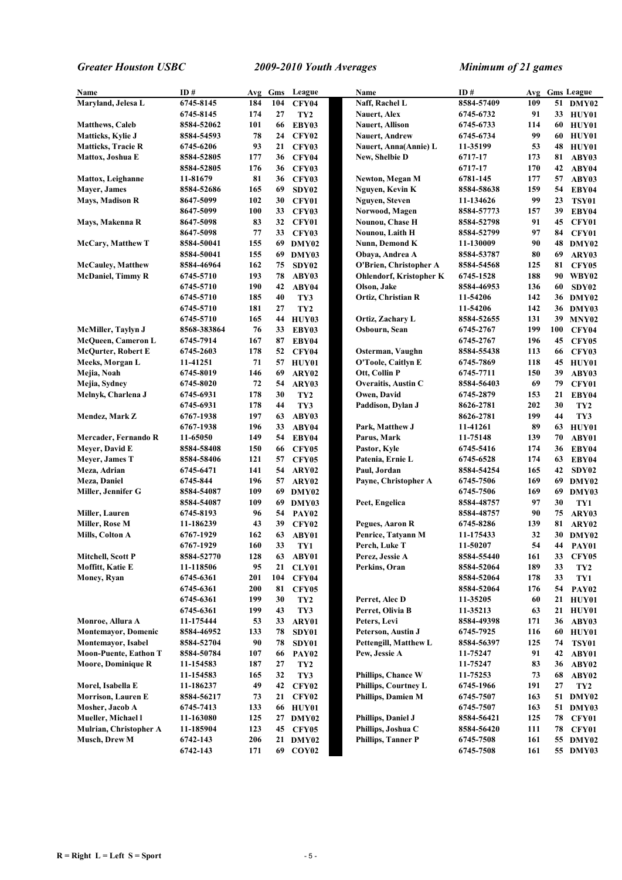| Name                         | ID#         | Avg | Gms | League            | Name                      |                                | ID#                    |     |     | Avg Gms League    |
|------------------------------|-------------|-----|-----|-------------------|---------------------------|--------------------------------|------------------------|-----|-----|-------------------|
| Maryland, Jelesa L           | 6745-8145   | 184 | 104 | <b>CFY04</b>      | Naff, Rachel L            |                                | 8584-57409             | 109 |     | 51 DMY02          |
|                              | 6745-8145   | 174 | 27  |                   | <b>Nauert, Alex</b>       |                                | 6745-6732              | 91  | 33  | HUY01             |
|                              |             | 101 | 66  | TY <sub>2</sub>   |                           |                                |                        | 114 | 60  |                   |
| <b>Matthews, Caleb</b>       | 8584-52062  | 78  | 24  | EBY03             | <b>Nauert, Allison</b>    |                                | 6745-6733<br>6745-6734 | 99  | 60  | HUY01             |
| <b>Matticks, Kylie J</b>     | 8584-54593  | 93  |     | <b>CFY02</b>      | <b>Nauert, Andrew</b>     |                                |                        |     |     | HUY01             |
| <b>Matticks, Tracie R</b>    | 6745-6206   |     | 21  | CFY03             |                           | Nauert, Anna(Annie) L          | 11-35199               | 53  | 48  | <b>HUY01</b>      |
| Mattox, Joshua E             | 8584-52805  | 177 | 36  | <b>CFY04</b>      | New, Shelbie D            |                                | 6717-17                | 173 | 81  | ABY03             |
|                              | 8584-52805  | 176 | 36  | <b>CFY03</b>      |                           |                                | 6717-17                | 170 | 42  | ABY04             |
| <b>Mattox, Leighanne</b>     | 11-81679    | 81  | 36  | <b>CFY03</b>      | Newton, Megan M           |                                | 6781-145               | 177 | 57  | ABY03             |
| Mayer, James                 | 8584-52686  | 165 | 69  | SDY02             | Nguyen, Kevin K           |                                | 8584-58638             | 159 | 54  | EBY04             |
| <b>Mays, Madison R</b>       | 8647-5099   | 102 | 30  | CFY01             | Nguyen, Steven            |                                | 11-134626              | 99  | 23  | <b>TSY01</b>      |
|                              | 8647-5099   | 100 | 33  | CFY03             | Norwood, Magen            |                                | 8584-57773             | 157 | 39  | EBY04             |
| Mays, Makenna R              | 8647-5098   | 83  | 32  | CFY01             | Nounou, Chase H           |                                | 8584-52798             | 91  | 45  | CFY01             |
|                              | 8647-5098   | 77  | 33  | CFY03             | Nounou, Laith H           |                                | 8584-52799             | 97  | 84  | CFY01             |
| <b>McCary, Matthew T</b>     | 8584-50041  | 155 | 69  | DMY02             | Nunn, Demond K            |                                | 11-130009              | 90  | 48  | DMY02             |
|                              | 8584-50041  | 155 | 69  | DMY03             | Obaya, Andrea A           |                                | 8584-53787             | 80  | 69  | ARY03             |
| <b>McCauley, Matthew</b>     | 8584-46964  | 162 | 75  | SDY02             |                           | O'Brien, Christopher A         | 8584-54568             | 125 | 81  | CFY05             |
| <b>McDaniel, Timmy R</b>     | 6745-5710   | 193 | 78  | ABY03             |                           | <b>Ohlendorf, Kristopher K</b> | 6745-1528              | 188 | 90  | WBY02             |
|                              | 6745-5710   | 190 | 42  | ABY04             | Olson, Jake               |                                | 8584-46953             | 136 | 60  | SDY02             |
|                              | 6745-5710   | 185 | 40  | TY3               | Ortiz, Christian R        |                                | 11-54206               | 142 |     | 36 DMY02          |
|                              | 6745-5710   | 181 | 27  | TY <sub>2</sub>   |                           |                                | 11-54206               | 142 |     | 36 DMY03          |
|                              | 6745-5710   | 165 | 44  | HUY03             | Ortiz, Zachary L          |                                | 8584-52655             | 131 | 39  | MNY <sub>02</sub> |
| McMiller, Taylyn J           | 8568-383864 | 76  | 33  | EBY03             | Osbourn, Sean             |                                | 6745-2767              | 199 | 100 | CFY04             |
|                              |             | 167 |     |                   |                           |                                |                        |     |     | <b>CFY05</b>      |
| <b>McQueen, Cameron L</b>    | 6745-7914   |     | 87  | EBY04             |                           |                                | 6745-2767              | 196 | 45  |                   |
| McQurter, Robert E           | 6745-2603   | 178 | 52  | CFY04             |                           | Osterman, Vaughn               | 8584-55438             | 113 | 66  | <b>CFY03</b>      |
| Meeks, Morgan L              | 11-41251    | 71  | 57  | HUY01             |                           | O'Toole, Caitlyn E             | 6745-7869              | 118 | 45  | HUY01             |
| Mejia, Noah                  | 6745-8019   | 146 | 69  | ARY02             | Ott, Collin P             |                                | 6745-7711              | 150 | 39  | ABY03             |
| Mejia, Sydney                | 6745-8020   | 72  | 54  | ARY03             |                           | Overaitis, Austin C            | 8584-56403             | 69  | 79  | CFY01             |
| Melnyk, Charlena J           | 6745-6931   | 178 | 30  | TY <sub>2</sub>   | Owen, David               |                                | 6745-2879              | 153 | 21  | EBY04             |
|                              | 6745-6931   | 178 | 44  | TY3               | Paddison, Dylan J         |                                | 8626-2781              | 202 | 30  | TY <sub>2</sub>   |
| Mendez, Mark Z               | 6767-1938   | 197 | 63  | ABY03             |                           |                                | 8626-2781              | 199 | 44  | TY3               |
|                              | 6767-1938   | 196 | 33  | ABY04             | Park, Matthew J           |                                | 11-41261               | 89  | 63  | HUY01             |
| Mercader, Fernando R         | 11-65050    | 149 | 54  | EBY04             | Parus, Mark               |                                | 11-75148               | 139 | 70  | ABY01             |
| Meyer, David E               | 8584-58408  | 150 | 66  | CFY05             | Pastor, Kyle              |                                | 6745-5416              | 174 | 36  | EBY04             |
| Meyer, James T               | 8584-58406  | 121 | 57  | CFY05             | Patenia, Ernie L          |                                | 6745-6528              | 174 | 63  | EBY04             |
| Meza, Adrian                 | 6745-6471   | 141 | 54  | ARY02             | Paul, Jordan              |                                | 8584-54254             | 165 | 42  | SDY02             |
| Meza, Daniel                 | 6745-844    | 196 | 57  | ARY02             |                           | Payne, Christopher A           | 6745-7506              | 169 | 69  | DMY02             |
| Miller, Jennifer G           | 8584-54087  | 109 |     | 69 DMY02          |                           |                                | 6745-7506              | 169 | 69  | DMY03             |
|                              | 8584-54087  | 109 | 69  | DMY03             | Peet, Engelica            |                                | 8584-48757             | 97  | 30  | TY1               |
| Miller, Lauren               | 6745-8193   | 96  | 54  | PAY <sub>02</sub> |                           |                                | 8584-48757             | 90  | 75  | ARY03             |
| Miller, Rose M               | 11-186239   | 43  | 39  | CFY02             | Pegues, Aaron R           |                                | 6745-8286              | 139 | 81  | ARY02             |
| Mills, Colton A              | 6767-1929   | 162 | 63  | ABY01             |                           | Penrice, Tatyann M             | 11-175433              | 32  | 30  | DMY02             |
|                              | 6767-1929   | 160 | 33  |                   | Perch, Luke T             |                                |                        | 54  |     |                   |
|                              | 8584-52770  |     |     | TY1               |                           |                                | 11-50207               |     |     | 44 PAY01          |
| Mitchell, Scott P            |             | 128 | 63  | ABY01             | Perez, Jessie A           |                                | 8584-55440             | 161 | 33  | <b>CFY05</b>      |
| Moffitt, Katie E             | 11-118506   | 95  | 21  | CLY01             | Perkins, Oran             |                                | 8584-52064             | 189 | 33  | TY <sub>2</sub>   |
| Money, Ryan                  | 6745-6361   | 201 | 104 | CFY04             |                           |                                | 8584-52064             | 178 | 33  | TY1               |
|                              | 6745-6361   | 200 | 81  | <b>CFY05</b>      |                           |                                | 8584-52064             | 176 | 54  | <b>PAY02</b>      |
|                              | 6745-6361   | 199 | 30  | TY <sub>2</sub>   | Perret, Alec D            |                                | 11-35205               | 60  | 21  | HUY01             |
|                              | 6745-6361   | 199 | 43  | TY3               | Perret, Olivia B          |                                | 11-35213               | 63  | 21  | HUV01             |
| Monroe, Allura A             | 11-175444   | 53  | 33  | ARY01             | Peters, Levi              |                                | 8584-49398             | 171 | 36  | ABY03             |
| <b>Montemayor, Domenic</b>   | 8584-46952  | 133 | 78  | SDY01             | Peterson, Austin J        |                                | 6745-7925              | 116 | 60  | HUY01             |
| Montemayor, Isabel           | 8584-52704  | 90  | 78  | SDY01             |                           | Pettengill, Matthew L          | 8584-56397             | 125 | 74  | <b>TSY01</b>      |
| <b>Moon-Puente, Eathon T</b> | 8584-50784  | 107 | 66  | PAY <sub>02</sub> | Pew, Jessie A             |                                | 11-75247               | 91  | 42  | ABY01             |
| <b>Moore, Dominique R</b>    | 11-154583   | 187 | 27  | TY <sub>2</sub>   |                           |                                | 11-75247               | 83  | 36  | ABY02             |
|                              | 11-154583   | 165 | 32  | TY3               |                           | Phillips, Chance W             | 11-75253               | 73  | 68  | ABY02             |
| Morel, Isabella E            | 11-186237   | 49  | 42  | CFY02             |                           | Phillips, Courtney L           | 6745-1966              | 191 | 27  | TY <sub>2</sub>   |
| <b>Morrison, Lauren E</b>    | 8584-56217  | 73  | 21  | CFY02             |                           | Phillips, Damien M             | 6745-7507              | 163 | 51  | DMY02             |
| Mosher, Jacob A              | 6745-7413   | 133 | 66  | HUY01             |                           |                                | 6745-7507              | 163 | 51  | DMY03             |
| Mueller, Michael l           | 11-163080   | 125 |     | 27 DMY02          | Phillips, Daniel J        |                                | 8584-56421             | 125 | 78  | CFY01             |
| Mulrian, Christopher A       | 11-185904   | 123 | 45  | <b>CFY05</b>      | Phillips, Joshua C        |                                | 8584-56420             | 111 | 78  | CFY01             |
| Musch, Drew M                | 6742-143    | 206 |     | 21 DMY02          | <b>Phillips, Tanner P</b> |                                | 6745-7508              | 161 |     | 55 DMY02          |
|                              | 6742-143    | 171 |     | 69 COY02          |                           |                                | 6745-7508              | 161 |     | 55 DMY03          |
|                              |             |     |     |                   |                           |                                |                        |     |     |                   |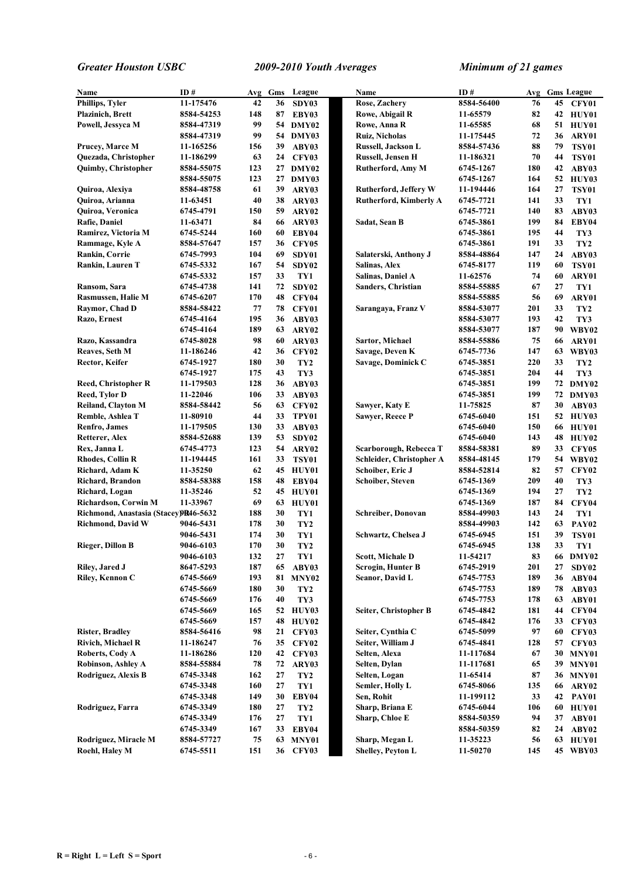| Name                                  | ID#        | Avg | Gms | League            | Name                          | ID#        | Avg |    | <b>Gms League</b> |
|---------------------------------------|------------|-----|-----|-------------------|-------------------------------|------------|-----|----|-------------------|
| Phillips, Tyler                       | 11-175476  | 42  | 36  | SDY03             | Rose, Zachery                 | 8584-56400 | 76  | 45 | CFY01             |
| <b>Plazinich</b> , Brett              | 8584-54253 | 148 | 87  | EBY03             | Rowe, Abigail R               | 11-65579   | 82  |    | 42 HUY01          |
| Powell, Jessyca M                     | 8584-47319 | 99  |     | 54 DMY02          | Rowe, Anna R                  | 11-65585   | 68  | 51 | HUY01             |
|                                       | 8584-47319 | 99  | 54  | DMY03             | Ruiz, Nicholas                | 11-175445  | 72  | 36 | ARY01             |
| Prucey, Marce M                       | 11-165256  | 156 | 39  | ABY03             | Russell, Jackson L            | 8584-57436 | 88  | 79 | <b>TSY01</b>      |
| Quezada, Christopher                  | 11-186299  | 63  | 24  | CFY03             | <b>Russell, Jensen H</b>      | 11-186321  | 70  | 44 | <b>TSY01</b>      |
| <b>Quimby, Christopher</b>            | 8584-55075 | 123 | 27  | DMY02             | Rutherford, Amy M             | 6745-1267  | 180 | 42 | ABY03             |
|                                       | 8584-55075 | 123 |     | 27 DMY03          |                               | 6745-1267  | 164 | 52 | HUY03             |
| Quiroa, Alexiya                       | 8584-48758 | 61  | 39  | ARY03             | <b>Rutherford, Jeffery W</b>  | 11-194446  | 164 | 27 | <b>TSY01</b>      |
| Quiroa, Arianna                       | 11-63451   | 40  | 38  | ARY03             | <b>Rutherford, Kimberly A</b> | 6745-7721  | 141 | 33 | TY1               |
| Quiroa, Veronica                      | 6745-4791  | 150 | 59  | ARY02             |                               | 6745-7721  | 140 | 83 | ABY03             |
| Rafie, Daniel                         | 11-63471   | 84  | 66  | ARY03             | Sadat, Sean B                 | 6745-3861  | 199 | 84 | EBY04             |
| Ramirez, Victoria M                   | 6745-5244  | 160 | 60  | EBY04             |                               | 6745-3861  | 195 | 44 | TY3               |
| Rammage, Kyle A                       | 8584-57647 | 157 | 36  | <b>CFY05</b>      |                               | 6745-3861  | 191 | 33 | TY <sub>2</sub>   |
| Rankin, Corrie                        | 6745-7993  | 104 | 69  | SDY01             | Salaterski, Anthony J         | 8584-48864 | 147 | 24 | ABY03             |
| Rankin, Lauren T                      | 6745-5332  | 167 | 54  | SDY <sub>02</sub> | Salinas, Alex                 | 6745-8177  | 119 | 60 | <b>TSY01</b>      |
|                                       | 6745-5332  | 157 | 33  | TY1               | Salinas, Daniel A             | 11-62576   | 74  | 60 | ARY01             |
| Ransom, Sara                          | 6745-4738  | 141 | 72  | SDY02             | Sanders, Christian            | 8584-55885 | 67  | 27 | TY1               |
| Rasmussen, Halie M                    | 6745-6207  | 170 | 48  | <b>CFY04</b>      |                               | 8584-55885 | 56  | 69 | ARY01             |
| Raymor, Chad D                        | 8584-58422 | 77  | 78  | CFY01             | Sarangaya, Franz V            | 8584-53077 | 201 | 33 | TY <sub>2</sub>   |
| Razo, Ernest                          | 6745-4164  | 195 | 36  | ABY03             |                               | 8584-53077 | 193 | 42 | TY3               |
|                                       | 6745-4164  | 189 | 63  | ARY02             |                               | 8584-53077 | 187 | 90 | WBY02             |
| Razo, Kassandra                       | 6745-8028  | 98  | 60  | ARY03             | Sartor, Michael               | 8584-55886 | 75  | 66 | ARY01             |
| Reaves, Seth M                        | 11-186246  | 42  | 36  | <b>CFY02</b>      | Savage, Deven K               | 6745-7736  | 147 | 63 | WBY03             |
| Rector, Keifer                        | 6745-1927  | 180 | 30  | TY <sub>2</sub>   | Savage, Dominick C            | 6745-3851  | 220 | 33 | TY <sub>2</sub>   |
|                                       | 6745-1927  | 175 | 43  | TY3               |                               | 6745-3851  | 204 | 44 | TY3               |
| <b>Reed, Christopher R</b>            | 11-179503  | 128 | 36  | ABY03             |                               | 6745-3851  | 199 |    | 72 DMY02          |
| Reed, Tylor D                         | 11-22046   | 106 | 33  | ABY03             |                               | 6745-3851  | 199 |    | 72 DMY03          |
| <b>Reiland, Clayton M</b>             | 8584-58442 | 56  | 63  | <b>CFY02</b>      | Sawyer, Katy E                | 11-75825   | 87  | 30 | ABY03             |
| Remble, Ashlea T                      | 11-80910   | 44  | 33  | TPY01             | Sawyer, Reece P               | 6745-6040  | 151 | 52 | HUY03             |
| Renfro, James                         | 11-179505  | 130 | 33  | ABY03             |                               | 6745-6040  | 150 | 66 | HUY01             |
| Retterer, Alex                        | 8584-52688 | 139 | 53  | SDY02             |                               | 6745-6040  | 143 | 48 | HUY02             |
| Rex, Janna L                          | 6745-4773  | 123 | 54  | ARY02             | Scarborough, Rebecca T        | 8584-58381 | 89  | 33 | <b>CFY05</b>      |
| <b>Rhodes, Collin R</b>               | 11-194445  | 161 | 33  | <b>TSY01</b>      | Schleider, Christopher A      | 8584-48145 | 179 | 54 | WBY02             |
| Richard, Adam K                       | 11-35250   | 62  |     | 45 HUY01          | Schoiber, Eric J              | 8584-52814 | 82  | 57 | CFY <sub>02</sub> |
| Richard, Brandon                      | 8584-58388 | 158 | 48  | EBY04             | Schoiber, Steven              | 6745-1369  | 209 | 40 | TY3               |
| Richard, Logan                        | 11-35246   | 52  | 45  | HUY01             |                               | 6745-1369  | 194 | 27 | TY <sub>2</sub>   |
| Richardson, Corwin M                  | 11-33967   | 69  | 63  | HUY01             |                               | 6745-1369  | 187 | 84 | CFY04             |
| Richmond, Anastasia (Stacey) B46-5632 |            | 188 | 30  | TY1               | <b>Schreiber, Donovan</b>     | 8584-49903 | 143 | 24 | TY1               |
| <b>Richmond, David W</b>              | 9046-5431  | 178 | 30  | TY <sub>2</sub>   |                               | 8584-49903 | 142 | 63 | PAY <sub>02</sub> |
|                                       | 9046-5431  | 174 | 30  | TY1               | Schwartz, Chelsea J           | 6745-6945  | 151 | 39 | <b>TSY01</b>      |
| <b>Rieger, Dillon B</b>               | 9046-6103  | 170 | 30  | TY <sub>2</sub>   |                               | 6745-6945  | 138 | 33 | TY1               |
|                                       | 9046-6103  | 132 | 27  | TY1               | <b>Scott, Michale D</b>       | 11-54217   | 83  |    | 66 DMY02          |
| Riley, Jared J                        | 8647-5293  | 187 | 65  | ABY03             | Scrogin, Hunter B             | 6745-2919  | 201 | 27 | SDY02             |
| Riley, Kennon C                       | 6745-5669  | 193 | 81  | <b>MNY02</b>      | Seanor, David L               | 6745-7753  | 189 | 36 | ABY04             |
|                                       | 6745-5669  | 180 | 30  | TY <sub>2</sub>   |                               | 6745-7753  | 189 | 78 | ABY03             |
|                                       | 6745-5669  | 176 | 40  | TY3               |                               | 6745-7753  | 178 | 63 | ABY01             |
|                                       | 6745-5669  | 165 |     | 52 HUY03          | Seiter, Christopher B         | 6745-4842  | 181 | 44 | CFY04             |
|                                       | 6745-5669  | 157 | 48  | <b>HUY02</b>      |                               | 6745-4842  | 176 | 33 | <b>CFY03</b>      |
| <b>Rister, Bradley</b>                | 8584-56416 | 98  | 21  | <b>CFY03</b>      | Seiter, Cynthia C             | 6745-5099  | 97  | 60 | CFY03             |
| <b>Rivich, Michael R</b>              | 11-186247  | 76  | 35  | <b>CFY02</b>      | Seiter, William J             | 6745-4841  | 128 | 57 | <b>CFY03</b>      |
| Roberts, Cody A                       | 11-186286  | 120 | 42  | <b>CFY03</b>      | Selten, Alexa                 | 11-117684  | 67  | 30 | MNY01             |
| Robinson, Ashley A                    | 8584-55884 | 78  | 72  | ARY03             | Selten, Dylan                 | 11-117681  | 65  | 39 | MNY01             |
| Rodriguez, Alexis B                   | 6745-3348  | 162 | 27  | TY <sub>2</sub>   | Selten, Logan                 | 11-65414   | 87  | 36 | MNY01             |
|                                       | 6745-3348  | 160 | 27  | TY1               | Semler, Holly L               | 6745-8066  | 135 | 66 | ARY02             |
|                                       | 6745-3348  | 149 | 30  | EBY04             | Sen, Rohit                    | 11-199112  | 33  | 42 | PAY01             |
| Rodriguez, Farra                      | 6745-3349  | 180 | 27  | TY <sub>2</sub>   | Sharp, Briana E               | 6745-6044  | 106 | 60 | HUY01             |
|                                       | 6745-3349  | 176 | 27  | TY1               | Sharp, Chloe E                | 8584-50359 | 94  | 37 | ABY01             |
|                                       | 6745-3349  | 167 | 33  | EBY04             |                               | 8584-50359 | 82  | 24 | ABY02             |
| Rodriguez, Miracle M                  | 8584-57727 | 75  | 63  | MNY01             | Sharp, Megan L                | 11-35223   | 56  |    | 63 HUY01          |
| Roehl, Haley M                        | 6745-5511  | 151 |     | 36 CFY03          | Shelley, Peyton L             | 11-50270   | 145 |    | 45 WBY03          |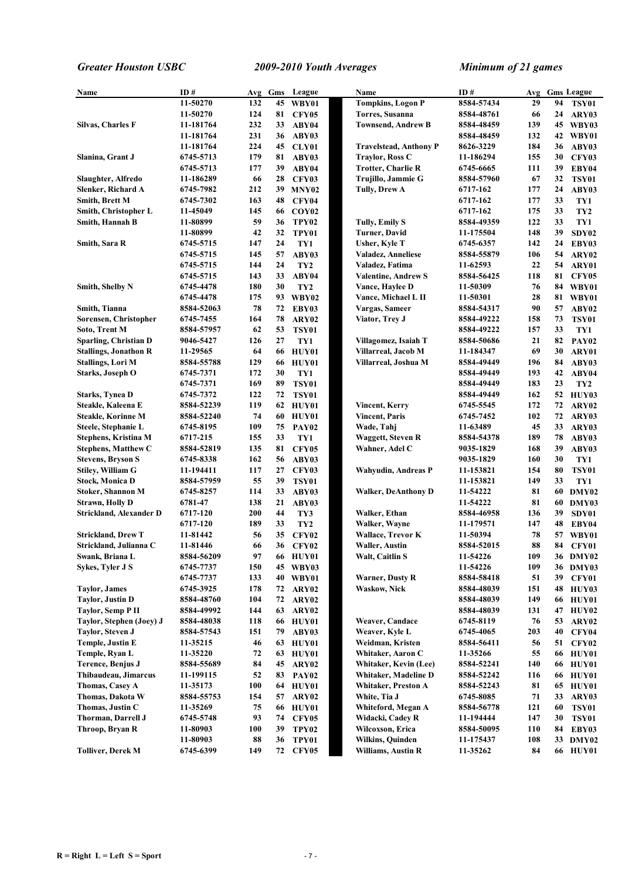| Name                         | ID#        | Avg | Gms | League            | Name                          | ID#        | Avg |    | <b>Gms</b> League |
|------------------------------|------------|-----|-----|-------------------|-------------------------------|------------|-----|----|-------------------|
|                              | 11-50270   | 132 | 45  | WBY01             | <b>Tompkins, Logon P</b>      | 8584-57434 | 29  | 94 | <b>TSY01</b>      |
|                              | 11-50270   | 124 | 81  | <b>CFY05</b>      | <b>Torres, Susanna</b>        | 8584-48761 | 66  | 24 | ARY03             |
| Silvas, Charles F            | 11-181764  | 232 | 33  | ABY04             | <b>Townsend, Andrew B</b>     | 8584-48459 | 139 |    | 45 WBY03          |
|                              | 11-181764  | 231 | 36  | ABY03             |                               | 8584-48459 | 132 | 42 | WBY01             |
|                              | 11-181764  | 224 | 45  | <b>CLY01</b>      | <b>Travelstead, Anthony P</b> | 8626-3229  | 184 | 36 | ABY03             |
| Slanina, Grant J             | 6745-5713  | 179 | 81  | ABY03             | <b>Traylor, Ross C</b>        | 11-186294  | 155 | 30 | <b>CFY03</b>      |
|                              | 6745-5713  | 177 | 39  | ABY04             | <b>Trotter, Charlie R</b>     | 6745-6665  | 111 | 39 | EBY04             |
| Slaughter, Alfredo           | 11-186289  | 66  | 28  | <b>CFY03</b>      | Trujillo, Jammie G            | 8584-57960 | 67  | 32 | <b>TSY01</b>      |
| Slenker, Richard A           | 6745-7982  | 212 |     | 39 MNY02          | <b>Tully, Drew A</b>          | 6717-162   | 177 | 24 | ABY03             |
| <b>Smith, Brett M</b>        | 6745-7302  | 163 | 48  | <b>CFY04</b>      |                               | 6717-162   | 177 | 33 | TY1               |
| Smith, Christopher L         | 11-45049   | 145 | 66  | COY <sub>02</sub> |                               | 6717-162   | 175 | 33 | TY <sub>2</sub>   |
| Smith, Hannah B              | 11-80899   | 59  | 36  | TPY <sub>02</sub> | <b>Tully, Emily S</b>         | 8584-49359 | 122 | 33 | TY1               |
|                              | 11-80899   | 42  | 32  | TPY01             | Turner, David                 | 11-175504  | 148 | 39 | SDY02             |
| Smith, Sara R                | 6745-5715  | 147 | 24  | TY1               | Usher, Kyle T                 | 6745-6357  | 142 | 24 | EBY03             |
|                              | 6745-5715  | 145 | 57  | ABY03             | Valadez, Anneliese            | 8584-55879 | 106 | 54 | ARY02             |
|                              | 6745-5715  | 144 | 24  | TY <sub>2</sub>   | Valadez, Fatima               | 11-62593   | 22  | 54 | ARY01             |
|                              | 6745-5715  | 143 | 33  | ABY04             | Valentine, Andrew S           | 8584-56425 | 118 | 81 | <b>CFY05</b>      |
| Smith, Shelby N              | 6745-4478  | 180 | 30  | TY <sub>2</sub>   | Vance, Haylee D               | 11-50309   | 76  | 84 | WBY01             |
|                              | 6745-4478  | 175 | 93  | WBY02             | Vance, Michael L II           | 11-50301   | 28  | 81 | WBY01             |
| Smith, Tianna                | 8584-52063 | 78  | 72  | EBY03             | Vargas, Sameer                | 8584-54317 | 90  | 57 | ABY02             |
| Sorensen, Christopher        | 6745-7455  | 164 | 78  | ARY02             | Viator, Trey J                | 8584-49222 | 158 | 73 | <b>TSY01</b>      |
| Soto, Trent M                | 8584-57957 | 62  | 53  | <b>TSY01</b>      |                               | 8584-49222 | 157 | 33 | TY1               |
| Sparling, Christian D        | 9046-5427  | 126 | 27  | TY1               | Villagomez, Isaiah T          | 8584-50686 | 21  | 82 | PAY <sub>02</sub> |
| <b>Stallings, Jonathon R</b> | 11-29565   | 64  | 66  | HUY01             | Villarreal, Jacob M           | 11-184347  | 69  | 30 | ARY01             |
| Stallings, Lori M            | 8584-55788 | 129 | 66  | HUY01             | Villarreal, Joshua M          | 8584-49449 | 196 | 84 | ABY03             |
| Starks, Joseph O             | 6745-7371  | 172 | 30  | TY1               |                               | 8584-49449 | 193 | 42 | ABY04             |
|                              | 6745-7371  | 169 | 89  | <b>TSY01</b>      |                               | 8584-49449 | 183 | 23 | TY <sub>2</sub>   |
| <b>Starks, Tynea D</b>       | 6745-7372  | 122 | 72  | <b>TSY01</b>      |                               | 8584-49449 | 162 | 52 | HUY03             |
| Steakle, Kaleena E           | 8584-52239 | 119 | 62  | HUY01             | Vincent, Kerry                | 6745-5545  | 172 | 72 | ARY02             |
| <b>Steakle, Korinne M</b>    | 8584-52240 | 74  | 60  | <b>HUY01</b>      | <b>Vincent, Paris</b>         | 6745-7452  | 102 | 72 | ARY03             |
| Steele, Stephanie L          | 6745-8195  | 109 | 75  | <b>PAY02</b>      | Wade, Tahj                    | 11-63489   | 45  | 33 | ARY03             |
| Stephens, Kristina M         | 6717-215   | 155 | 33  | TY1               | <b>Waggett, Steven R</b>      | 8584-54378 | 189 | 78 | ABY03             |
| <b>Stephens, Matthew C</b>   | 8584-52819 | 135 | 81  | <b>CFY05</b>      | Wahner, Adel C                | 9035-1829  | 168 | 39 | ABY03             |
| <b>Stevens, Bryson S</b>     | 6745-8338  | 162 | 56  | ABY03             |                               | 9035-1829  | 160 | 30 | TY1               |
| Stiley, William G            | 11-194411  | 117 | 27  | <b>CFY03</b>      | <b>Wahyudin, Andreas P</b>    | 11-153821  | 154 | 80 | <b>TSY01</b>      |
| <b>Stock, Monica D</b>       | 8584-57959 | 55  | 39  | <b>TSY01</b>      |                               | 11-153821  | 149 | 33 | TY1               |
| <b>Stoker, Shannon M</b>     | 6745-8257  | 114 | 33  | ABY03             | <b>Walker, DeAnthony D</b>    | 11-54222   | 81  | 60 | DMY02             |
| <b>Strawn, Holly D</b>       | 6781-47    | 138 | 21  | ABY03             |                               | 11-54222   | 81  | 60 | DMY03             |
| Strickland, Alexander D      | 6717-120   | 200 | 44  | TY3               | Walker, Ethan                 | 8584-46958 | 136 | 39 | SDY01             |
|                              | 6717-120   | 189 | 33  | TY <sub>2</sub>   | Walker, Wayne                 | 11-179571  | 147 | 48 | EBY04             |
| <b>Strickland, Drew T</b>    | 11-81442   | 56  | 35  | <b>CFY02</b>      | <b>Wallace, Trevor K</b>      | 11-50394   | 78  | 57 | WBY01             |
| Strickland, Julianna C       | 11-81446   | 66  | 36  | <b>CFY02</b>      | Waller, Austin                | 8584-52015 | 88  | 84 | CFY01             |
| Swank, Briana L              | 8584-56209 | 97  | 66  | HUY01             | Walt, Caitlin S               | 11-54226   | 109 |    | 36 DMY02          |
| Sykes, Tyler J S             | 6745-7737  | 150 | 45  | WBY03             |                               | 11-54226   | 109 | 36 | DMY03             |
|                              | 6745-7737  | 133 | 40  | WBY01             | <b>Warner, Dusty R</b>        | 8584-58418 | 51  | 39 | CFY01             |
| <b>Taylor</b> , James        | 6745-3925  | 178 | 72  | ARY02             | Waskow, Nick                  | 8584-48039 | 151 | 48 | <b>HUY03</b>      |
| <b>Taylor, Justin D</b>      | 8584-48760 | 104 | 72  | ARY02             |                               | 8584-48039 | 149 | 66 | HUY01             |
| Taylor, Semp P II            | 8584-49992 | 144 | 63  | ARY02             |                               | 8584-48039 | 131 | 47 | <b>HUY02</b>      |
| Taylor, Stephen (Joey) J     | 8584-48038 | 118 |     | 66 HUY01          | <b>Weaver, Candace</b>        | 6745-8119  | 76  | 53 | ARY02             |
| Taylor, Steven J             | 8584-57543 | 151 | 79  | ABY03             | Weaver, Kyle L                | 6745-4065  | 203 | 40 | CFY04             |
| Temple, Justin E             | 11-35215   | 46  | 63  | HUY01             | Weidman, Kristen              | 8584-56411 | 56  | 51 | CFY02             |
| Temple, Ryan L               | 11-35220   | 72  | 63  | HUY01             | Whitaker, Aaron C             | 11-35266   | 55  | 66 | HUY01             |
| Terence, Benjus J            | 8584-55689 | 84  | 45  | ARY02             | Whitaker, Kevin (Lee)         | 8584-52241 | 140 | 66 | HUY01             |
| Thibaudeau, Jimarcus         | 11-199115  | 52  | 83  | <b>PAY02</b>      | Whitaker, Madeline D          | 8584-52242 | 116 | 66 | <b>HUY01</b>      |
| Thomas, Casey A              | 11-35173   | 100 | 64  | HUY01             | Whitaker, Preston A           | 8584-52243 | 81  | 65 | HUY01             |
| Thomas, Dakota W             | 8584-55753 | 154 | 57  | ARY02             | White, Tia J                  | 6745-8085  | 71  | 33 | ARY03             |
| Thomas, Justin C             | 11-35269   | 75  | 66  | HUY01             | Whiteford, Megan A            | 8584-56778 | 121 | 60 | <b>TSY01</b>      |
| Thorman, Darrell J           | 6745-5748  | 93  | 74  | <b>CFY05</b>      | Widacki, Cadey R              | 11-194444  | 147 | 30 | <b>TSY01</b>      |
| Throop, Bryan R              | 11-80903   | 100 | 39  | <b>TPY02</b>      | Wilcoxson, Erica              | 8584-50095 | 110 | 84 | EBY03             |
|                              | 11-80903   | 88  | 36  | TPY01             | Wilkins, Quinden              | 11-175437  | 108 |    | 33 DMY02          |
| <b>Tolliver, Derek M</b>     | 6745-6399  | 149 | 72  | <b>CFY05</b>      | <b>Williams, Austin R</b>     | 11-35262   | 84  |    | <b>66 HUY01</b>   |